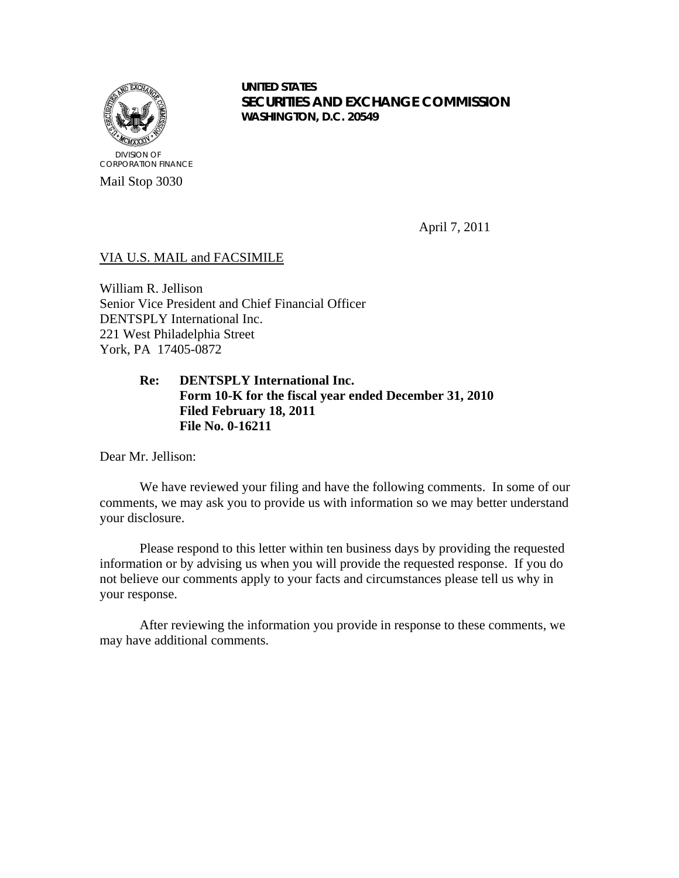

**UNITED STATES SECURITIES AND EXCHANGE COMMISSION WASHINGTON, D.C. 20549**

April 7, 2011

# VIA U.S. MAIL and FACSIMILE

William R. Jellison Senior Vice President and Chief Financial Officer DENTSPLY International Inc. 221 West Philadelphia Street York, PA 17405-0872

## **Re: DENTSPLY International Inc. Form 10-K for the fiscal year ended December 31, 2010 Filed February 18, 2011 File No. 0-16211**

Dear Mr. Jellison:

We have reviewed your filing and have the following comments. In some of our comments, we may ask you to provide us with information so we may better understand your disclosure.

Please respond to this letter within ten business days by providing the requested information or by advising us when you will provide the requested response. If you do not believe our comments apply to your facts and circumstances please tell us why in your response.

After reviewing the information you provide in response to these comments, we may have additional comments.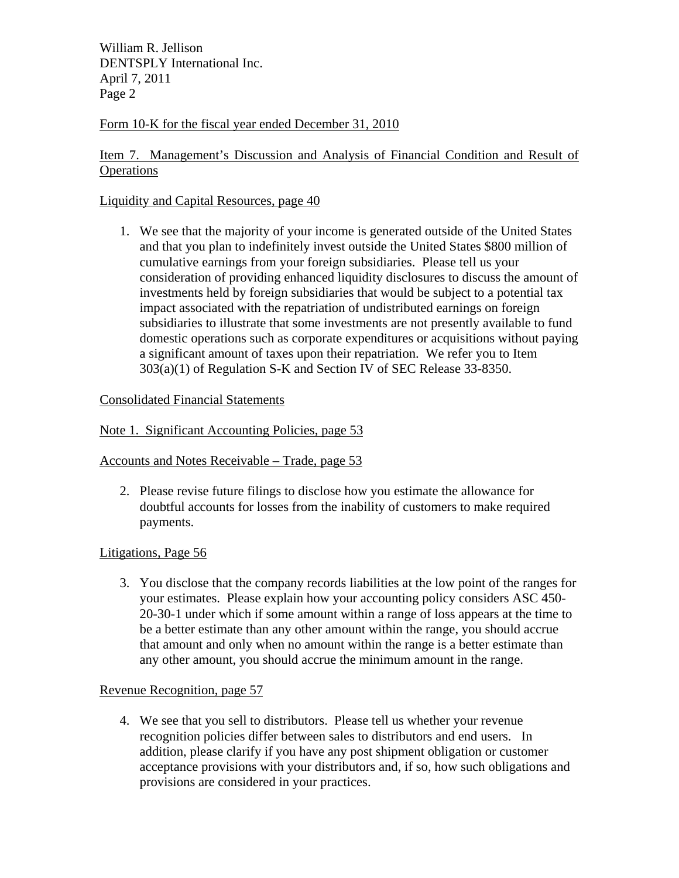William R. Jellison DENTSPLY International Inc. April 7, 2011 Page 2

# Form 10-K for the fiscal year ended December 31, 2010

# Item 7. Management's Discussion and Analysis of Financial Condition and Result of **Operations**

# Liquidity and Capital Resources, page 40

1. We see that the majority of your income is generated outside of the United States and that you plan to indefinitely invest outside the United States \$800 million of cumulative earnings from your foreign subsidiaries. Please tell us your consideration of providing enhanced liquidity disclosures to discuss the amount of investments held by foreign subsidiaries that would be subject to a potential tax impact associated with the repatriation of undistributed earnings on foreign subsidiaries to illustrate that some investments are not presently available to fund domestic operations such as corporate expenditures or acquisitions without paying a significant amount of taxes upon their repatriation. We refer you to Item 303(a)(1) of Regulation S-K and Section IV of SEC Release 33-8350.

### Consolidated Financial Statements

### Note 1. Significant Accounting Policies, page 53

Accounts and Notes Receivable – Trade, page 53

2. Please revise future filings to disclose how you estimate the allowance for doubtful accounts for losses from the inability of customers to make required payments.

#### Litigations, Page 56

3. You disclose that the company records liabilities at the low point of the ranges for your estimates. Please explain how your accounting policy considers ASC 450- 20-30-1 under which if some amount within a range of loss appears at the time to be a better estimate than any other amount within the range, you should accrue that amount and only when no amount within the range is a better estimate than any other amount, you should accrue the minimum amount in the range.

#### Revenue Recognition, page 57

4. We see that you sell to distributors. Please tell us whether your revenue recognition policies differ between sales to distributors and end users. In addition, please clarify if you have any post shipment obligation or customer acceptance provisions with your distributors and, if so, how such obligations and provisions are considered in your practices.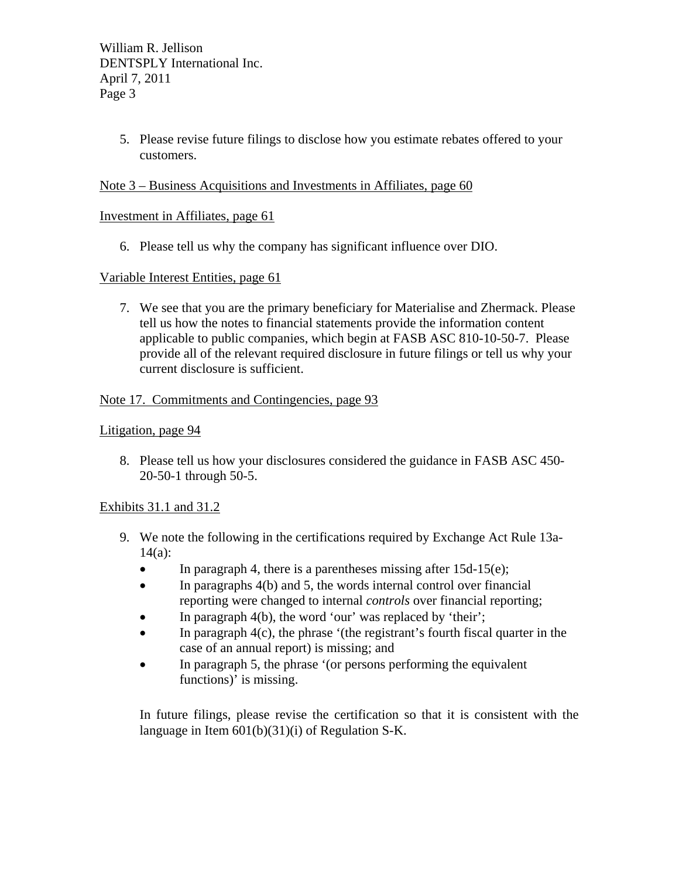William R. Jellison DENTSPLY International Inc. April 7, 2011 Page 3

> 5. Please revise future filings to disclose how you estimate rebates offered to your customers.

## Note 3 – Business Acquisitions and Investments in Affiliates, page 60

### Investment in Affiliates, page 61

6. Please tell us why the company has significant influence over DIO.

### Variable Interest Entities, page 61

7. We see that you are the primary beneficiary for Materialise and Zhermack. Please tell us how the notes to financial statements provide the information content applicable to public companies, which begin at FASB ASC 810-10-50-7. Please provide all of the relevant required disclosure in future filings or tell us why your current disclosure is sufficient.

### Note 17. Commitments and Contingencies, page 93

#### Litigation, page 94

8. Please tell us how your disclosures considered the guidance in FASB ASC 450- 20-50-1 through 50-5.

## Exhibits 31.1 and 31.2

- 9. We note the following in the certifications required by Exchange Act Rule 13a-14(a):
	- $\bullet$  In paragraph 4, there is a parentheses missing after 15d-15(e);
	- $\bullet$  In paragraphs 4(b) and 5, the words internal control over financial reporting were changed to internal *controls* over financial reporting;
	- $\bullet$  In paragraph 4(b), the word 'our' was replaced by 'their';
	- $\bullet$  In paragraph 4(c), the phrase '(the registrant's fourth fiscal quarter in the case of an annual report) is missing; and
	- In paragraph 5, the phrase '(or persons performing the equivalent functions)' is missing.

In future filings, please revise the certification so that it is consistent with the language in Item 601(b)(31)(i) of Regulation S-K.